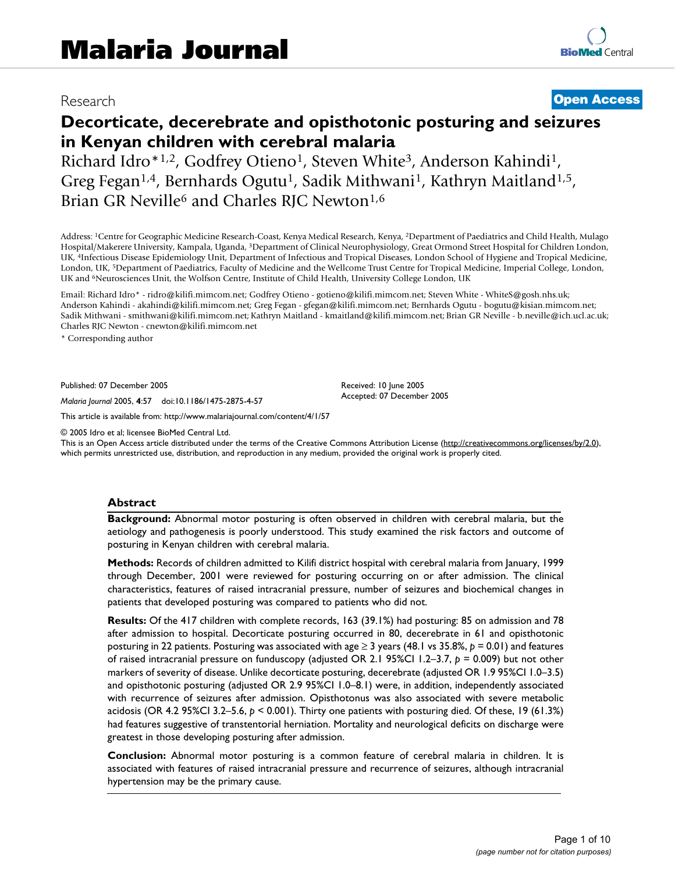## Research **[Open Access](http://www.biomedcentral.com/info/about/charter/)**

# **Decorticate, decerebrate and opisthotonic posturing and seizures in Kenyan children with cerebral malaria**

Richard Idro\*<sup>1,2</sup>, Godfrey Otieno<sup>1</sup>, Steven White<sup>3</sup>, Anderson Kahindi<sup>1</sup>, Greg Fegan<sup>1,4</sup>, Bernhards Ogutu<sup>1</sup>, Sadik Mithwani<sup>1</sup>, Kathryn Maitland<sup>1,5</sup>, Brian GR Neville<sup>6</sup> and Charles RIC Newton<sup>1,6</sup>

Address: 1Centre for Geographic Medicine Research-Coast, Kenya Medical Research, Kenya, 2Department of Paediatrics and Child Health, Mulago Hospital/Makerere University, Kampala, Uganda, 3Department of Clinical Neurophysiology, Great Ormond Street Hospital for Children London, UK, 4Infectious Disease Epidemiology Unit, Department of Infectious and Tropical Diseases, London School of Hygiene and Tropical Medicine, London, UK, 5Department of Paediatrics, Faculty of Medicine and the Wellcome Trust Centre for Tropical Medicine, Imperial College, London, UK and 6Neurosciences Unit, the Wolfson Centre, Institute of Child Health, University College London, UK

Email: Richard Idro\* - ridro@kilifi.mimcom.net; Godfrey Otieno - gotieno@kilifi.mimcom.net; Steven White - WhiteS@gosh.nhs.uk; Anderson Kahindi - akahindi@kilifi.mimcom.net; Greg Fegan - gfegan@kilifi.mimcom.net; Bernhards Ogutu - bogutu@kisian.mimcom.net; Sadik Mithwani - smithwani@kilifi.mimcom.net; Kathryn Maitland - kmaitland@kilifi.mimcom.net; Brian GR Neville - b.neville@ich.ucl.ac.uk; Charles RJC Newton - cnewton@kilifi.mimcom.net

> Received: 10 June 2005 Accepted: 07 December 2005

\* Corresponding author

Published: 07 December 2005

*Malaria Journal* 2005, **4**:57 doi:10.1186/1475-2875-4-57

[This article is available from: http://www.malariajournal.com/content/4/1/57](http://www.malariajournal.com/content/4/1/57)

© 2005 Idro et al; licensee BioMed Central Ltd.

This is an Open Access article distributed under the terms of the Creative Commons Attribution License [\(http://creativecommons.org/licenses/by/2.0\)](http://creativecommons.org/licenses/by/2.0), which permits unrestricted use, distribution, and reproduction in any medium, provided the original work is properly cited.

#### **Abstract**

**Background:** Abnormal motor posturing is often observed in children with cerebral malaria, but the aetiology and pathogenesis is poorly understood. This study examined the risk factors and outcome of posturing in Kenyan children with cerebral malaria.

**Methods:** Records of children admitted to Kilifi district hospital with cerebral malaria from January, 1999 through December, 2001 were reviewed for posturing occurring on or after admission. The clinical characteristics, features of raised intracranial pressure, number of seizures and biochemical changes in patients that developed posturing was compared to patients who did not.

**Results:** Of the 417 children with complete records, 163 (39.1%) had posturing: 85 on admission and 78 after admission to hospital. Decorticate posturing occurred in 80, decerebrate in 61 and opisthotonic posturing in 22 patients. Posturing was associated with age ≥ 3 years (48.1 vs 35.8%, *p* = 0.01) and features of raised intracranial pressure on funduscopy (adjusted OR 2.1 95%CI 1.2–3.7, *p* = 0.009) but not other markers of severity of disease. Unlike decorticate posturing, decerebrate (adjusted OR 1.9 95%CI 1.0–3.5) and opisthotonic posturing (adjusted OR 2.9 95%CI 1.0–8.1) were, in addition, independently associated with recurrence of seizures after admission. Opisthotonus was also associated with severe metabolic acidosis (OR 4.2 95%CI 3.2–5.6, *p* < 0.001). Thirty one patients with posturing died. Of these, 19 (61.3%) had features suggestive of transtentorial herniation. Mortality and neurological deficits on discharge were greatest in those developing posturing after admission.

**Conclusion:** Abnormal motor posturing is a common feature of cerebral malaria in children. It is associated with features of raised intracranial pressure and recurrence of seizures, although intracranial hypertension may be the primary cause.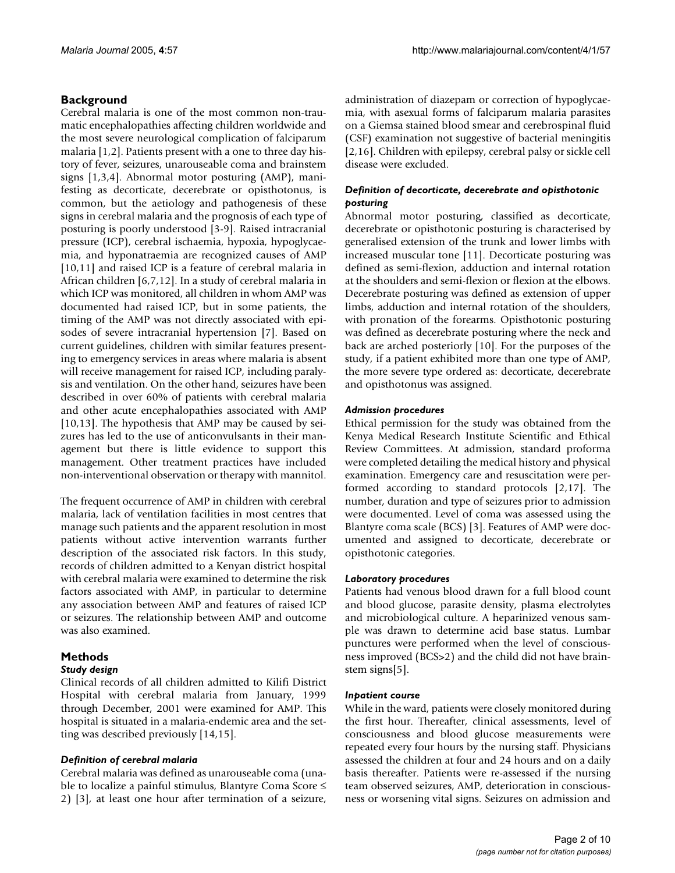### **Background**

Cerebral malaria is one of the most common non-traumatic encephalopathies affecting children worldwide and the most severe neurological complication of falciparum malaria [1,2]. Patients present with a one to three day history of fever, seizures, unarouseable coma and brainstem signs [1,3,4]. Abnormal motor posturing (AMP), manifesting as decorticate, decerebrate or opisthotonus, is common, but the aetiology and pathogenesis of these signs in cerebral malaria and the prognosis of each type of posturing is poorly understood [3-9]. Raised intracranial pressure (ICP), cerebral ischaemia, hypoxia, hypoglycaemia, and hyponatraemia are recognized causes of AMP [10,11] and raised ICP is a feature of cerebral malaria in African children [6,7,12]. In a study of cerebral malaria in which ICP was monitored, all children in whom AMP was documented had raised ICP, but in some patients, the timing of the AMP was not directly associated with episodes of severe intracranial hypertension [7]. Based on current guidelines, children with similar features presenting to emergency services in areas where malaria is absent will receive management for raised ICP, including paralysis and ventilation. On the other hand, seizures have been described in over 60% of patients with cerebral malaria and other acute encephalopathies associated with AMP [10,13]. The hypothesis that AMP may be caused by seizures has led to the use of anticonvulsants in their management but there is little evidence to support this management. Other treatment practices have included non-interventional observation or therapy with mannitol.

The frequent occurrence of AMP in children with cerebral malaria, lack of ventilation facilities in most centres that manage such patients and the apparent resolution in most patients without active intervention warrants further description of the associated risk factors. In this study, records of children admitted to a Kenyan district hospital with cerebral malaria were examined to determine the risk factors associated with AMP, in particular to determine any association between AMP and features of raised ICP or seizures. The relationship between AMP and outcome was also examined.

### **Methods**

### *Study design*

Clinical records of all children admitted to Kilifi District Hospital with cerebral malaria from January, 1999 through December, 2001 were examined for AMP. This hospital is situated in a malaria-endemic area and the setting was described previously [14,15].

### *Definition of cerebral malaria*

Cerebral malaria was defined as unarouseable coma (unable to localize a painful stimulus, Blantyre Coma Score ≤ 2) [3], at least one hour after termination of a seizure,

administration of diazepam or correction of hypoglycaemia, with asexual forms of falciparum malaria parasites on a Giemsa stained blood smear and cerebrospinal fluid (CSF) examination not suggestive of bacterial meningitis [2,16]. Children with epilepsy, cerebral palsy or sickle cell disease were excluded.

### *Definition of decorticate, decerebrate and opisthotonic posturing*

Abnormal motor posturing, classified as decorticate, decerebrate or opisthotonic posturing is characterised by generalised extension of the trunk and lower limbs with increased muscular tone [11]. Decorticate posturing was defined as semi-flexion, adduction and internal rotation at the shoulders and semi-flexion or flexion at the elbows. Decerebrate posturing was defined as extension of upper limbs, adduction and internal rotation of the shoulders, with pronation of the forearms. Opisthotonic posturing was defined as decerebrate posturing where the neck and back are arched posteriorly [10]. For the purposes of the study, if a patient exhibited more than one type of AMP, the more severe type ordered as: decorticate, decerebrate and opisthotonus was assigned.

### *Admission procedures*

Ethical permission for the study was obtained from the Kenya Medical Research Institute Scientific and Ethical Review Committees. At admission, standard proforma were completed detailing the medical history and physical examination. Emergency care and resuscitation were performed according to standard protocols [2,[17\]](#page-8-0). The number, duration and type of seizures prior to admission were documented. Level of coma was assessed using the Blantyre coma scale (BCS) [3]. Features of AMP were documented and assigned to decorticate, decerebrate or opisthotonic categories.

### *Laboratory procedures*

Patients had venous blood drawn for a full blood count and blood glucose, parasite density, plasma electrolytes and microbiological culture. A heparinized venous sample was drawn to determine acid base status. Lumbar punctures were performed when the level of consciousness improved (BCS>2) and the child did not have brainstem signs[5].

### *Inpatient course*

While in the ward, patients were closely monitored during the first hour. Thereafter, clinical assessments, level of consciousness and blood glucose measurements were repeated every four hours by the nursing staff. Physicians assessed the children at four and 24 hours and on a daily basis thereafter. Patients were re-assessed if the nursing team observed seizures, AMP, deterioration in consciousness or worsening vital signs. Seizures on admission and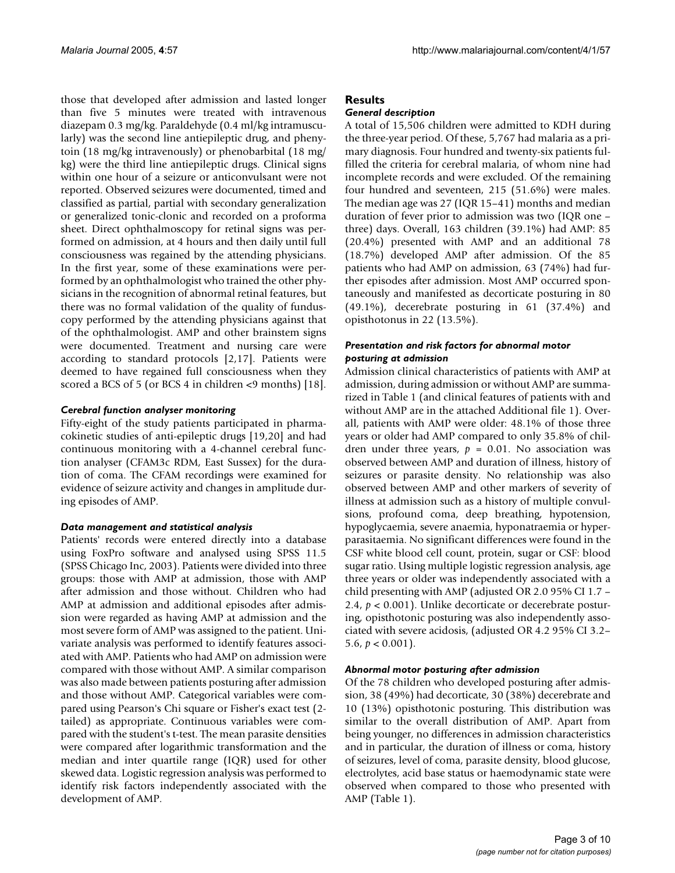those that developed after admission and lasted longer than five 5 minutes were treated with intravenous diazepam 0.3 mg/kg. Paraldehyde (0.4 ml/kg intramuscularly) was the second line antiepileptic drug, and phenytoin (18 mg/kg intravenously) or phenobarbital (18 mg/ kg) were the third line antiepileptic drugs. Clinical signs within one hour of a seizure or anticonvulsant were not reported. Observed seizures were documented, timed and classified as partial, partial with secondary generalization or generalized tonic-clonic and recorded on a proforma sheet. Direct ophthalmoscopy for retinal signs was performed on admission, at 4 hours and then daily until full consciousness was regained by the attending physicians. In the first year, some of these examinations were performed by an ophthalmologist who trained the other physicians in the recognition of abnormal retinal features, but there was no formal validation of the quality of funduscopy performed by the attending physicians against that of the ophthalmologist. AMP and other brainstem signs were documented. Treatment and nursing care were according to standard protocols [2,[17\]](#page-8-0). Patients were deemed to have regained full consciousness when they scored a BCS of 5 (or BCS 4 in children <9 months) [18].

### *Cerebral function analyser monitoring*

Fifty-eight of the study patients participated in pharmacokinetic studies of anti-epileptic drugs [19,20] and had continuous monitoring with a 4-channel cerebral function analyser (CFAM3c RDM, East Sussex) for the duration of coma. The CFAM recordings were examined for evidence of seizure activity and changes in amplitude during episodes of AMP.

### *Data management and statistical analysis*

Patients' records were entered directly into a database using FoxPro software and analysed using SPSS 11.5 (SPSS Chicago Inc, 2003). Patients were divided into three groups: those with AMP at admission, those with AMP after admission and those without. Children who had AMP at admission and additional episodes after admission were regarded as having AMP at admission and the most severe form of AMP was assigned to the patient. Univariate analysis was performed to identify features associated with AMP. Patients who had AMP on admission were compared with those without AMP. A similar comparison was also made between patients posturing after admission and those without AMP. Categorical variables were compared using Pearson's Chi square or Fisher's exact test (2 tailed) as appropriate. Continuous variables were compared with the student's t-test. The mean parasite densities were compared after logarithmic transformation and the median and inter quartile range (IQR) used for other skewed data. Logistic regression analysis was performed to identify risk factors independently associated with the development of AMP.

### **Results**

### *General description*

A total of 15,506 children were admitted to KDH during the three-year period. Of these, 5,767 had malaria as a primary diagnosis. Four hundred and twenty-six patients fulfilled the criteria for cerebral malaria, of whom nine had incomplete records and were excluded. Of the remaining four hundred and seventeen, 215 (51.6%) were males. The median age was 27 (IQR 15–41) months and median duration of fever prior to admission was two (IQR one – three) days. Overall, 163 children (39.1%) had AMP: 85 (20.4%) presented with AMP and an additional 78 (18.7%) developed AMP after admission. Of the 85 patients who had AMP on admission, 63 (74%) had further episodes after admission. Most AMP occurred spontaneously and manifested as decorticate posturing in 80 (49.1%), decerebrate posturing in 61 (37.4%) and opisthotonus in 22 (13.5%).

### *Presentation and risk factors for abnormal motor posturing at admission*

Admission clinical characteristics of patients with AMP at admission, during admission or without AMP are summarized in Table 1 (and clinical features of patients with and without AMP are in the attached Additional file 1). Overall, patients with AMP were older: 48.1% of those three years or older had AMP compared to only 35.8% of children under three years,  $p = 0.01$ . No association was observed between AMP and duration of illness, history of seizures or parasite density. No relationship was also observed between AMP and other markers of severity of illness at admission such as a history of multiple convulsions, profound coma, deep breathing, hypotension, hypoglycaemia, severe anaemia, hyponatraemia or hyperparasitaemia. No significant differences were found in the CSF white blood cell count, protein, sugar or CSF: blood sugar ratio. Using multiple logistic regression analysis, age three years or older was independently associated with a child presenting with AMP (adjusted OR 2.0 95% CI 1.7 – 2.4, *p* < 0.001). Unlike decorticate or decerebrate posturing, opisthotonic posturing was also independently associated with severe acidosis, (adjusted OR 4.2 95% CI 3.2– 5.6,  $p < 0.001$ ).

### *Abnormal motor posturing after admission*

Of the 78 children who developed posturing after admission, 38 (49%) had decorticate, 30 (38%) decerebrate and 10 (13%) opisthotonic posturing. This distribution was similar to the overall distribution of AMP. Apart from being younger, no differences in admission characteristics and in particular, the duration of illness or coma, history of seizures, level of coma, parasite density, blood glucose, electrolytes, acid base status or haemodynamic state were observed when compared to those who presented with AMP (Table 1).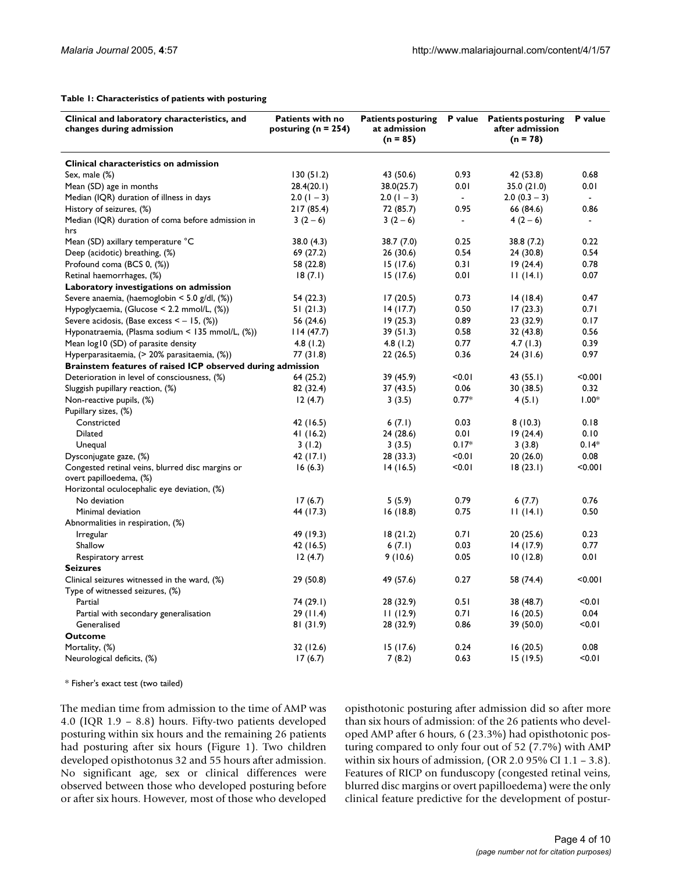#### **Table 1: Characteristics of patients with posturing**

| Clinical and laboratory characteristics, and<br>changes during admission    | <b>Patients with no</b><br>posturing ( $n = 254$ ) | <b>Patients posturing</b><br>at admission<br>$(n = 85)$ |                | <b>P</b> value Patients posturing<br>after admission<br>$(n = 78)$ | P value        |
|-----------------------------------------------------------------------------|----------------------------------------------------|---------------------------------------------------------|----------------|--------------------------------------------------------------------|----------------|
| Clinical characteristics on admission                                       |                                                    |                                                         |                |                                                                    |                |
| Sex, male (%)                                                               | 130(51.2)                                          | 43 (50.6)                                               | 0.93           | 42 (53.8)                                                          | 0.68           |
| Mean (SD) age in months                                                     | 28.4(20.1)                                         | 38.0(25.7)                                              | 0.01           | 35.0(21.0)                                                         | 0.01           |
| Median (IQR) duration of illness in days                                    | $2.0(1-3)$                                         | $2.0(1-3)$                                              | $\blacksquare$ | $2.0(0.3 - 3)$                                                     | $\blacksquare$ |
| History of seizures, (%)                                                    | 217 (85.4)                                         | 72 (85.7)                                               | 0.95           | 66 (84.6)                                                          | 0.86           |
| Median (IQR) duration of coma before admission in<br>hrs                    | $3(2-6)$                                           | $3(2-6)$                                                | $\blacksquare$ | $4(2-6)$                                                           | $\overline{a}$ |
| Mean (SD) axillary temperature °C                                           | 38.0 (4.3)                                         | 38.7 (7.0)                                              | 0.25           | 38.8 (7.2)                                                         | 0.22           |
| Deep (acidotic) breathing, (%)                                              | 69 (27.2)                                          | 0.54<br>26 (30.6)                                       |                | 24 (30.8)                                                          | 0.54           |
| Profound coma (BCS 0, (%))                                                  | 58 (22.8)                                          | 15(17.6)                                                | 0.31           | 19(24.4)                                                           | 0.78           |
| Retinal haemorrhages, (%)                                                   | 18(7.1)                                            | 0.01<br>15 (17.6)                                       |                | II(14.1)                                                           | 0.07           |
| Laboratory investigations on admission                                      |                                                    |                                                         |                |                                                                    |                |
| Severe anaemia, (haemoglobin < 5.0 g/dl, (%))                               | 54 (22.3)                                          | 17(20.5)                                                | 0.73           | 14(18.4)                                                           | 0.47           |
| Hypoglycaemia, (Glucose < 2.2 mmol/L, (%))                                  | 51(21.3)                                           | 14(17.7)                                                | 0.50           | 17(23.3)                                                           | 0.71           |
| Severe acidosis, (Base excess $\leq -15$ , (%))                             | 56 (24.6)                                          | 19(25.3)                                                | 0.89           | 23 (32.9)                                                          | 0.17           |
| Hyponatraemia, (Plasma sodium < 135 mmol/L, (%))                            | 114(47.7)                                          | 39(51.3)                                                | 0.58           | 32 (43.8)                                                          | 0.56           |
| Mean log10 (SD) of parasite density                                         | 4.8 $(1.2)$                                        | 4.8 $(1.2)$                                             | 0.77           | 4.7(1.3)                                                           | 0.39           |
| Hyperparasitaemia, (> 20% parasitaemia, (%))                                | 77 (31.8)                                          | 22 (26.5)                                               | 0.36           | 24(31.6)                                                           | 0.97           |
| Brainstem features of raised ICP observed during admission                  |                                                    |                                                         |                |                                                                    |                |
| Deterioration in level of consciousness, (%)                                | 64 (25.2)                                          | 39 (45.9)                                               | < 0.01         | 43 (55.1)                                                          | < 0.001        |
| Sluggish pupillary reaction, (%)                                            | 82 (32.4)                                          | 37 (43.5)                                               | 0.06           | 30 (38.5)                                                          | 0.32           |
| Non-reactive pupils, (%)                                                    | 12(4.7)                                            | 3(3.5)                                                  | $0.77*$        | 4(5.1)                                                             | $1.00*$        |
| Pupillary sizes, (%)                                                        |                                                    |                                                         |                |                                                                    |                |
| Constricted                                                                 | 42 (16.5)                                          | 6(7.1)                                                  | 0.03           | 8(10.3)                                                            | 0.18           |
| <b>Dilated</b>                                                              | 41(16.2)                                           | 24 (28.6)                                               | 0.01           | 19(24.4)                                                           | 0.10           |
| Unequal                                                                     | 3(1.2)                                             | 3(3.5)                                                  | $0.17*$        | 3(3.8)                                                             | $0.14*$        |
| Dysconjugate gaze, (%)                                                      | 42 (17.1)                                          | 28 (33.3)                                               | < 0.01         | 20(26.0)                                                           | 0.08           |
| Congested retinal veins, blurred disc margins or<br>overt papilloedema, (%) | 16(6.3)                                            | 14(16.5)                                                | < 0.01         | 18(23.1)                                                           | < 0.001        |
| Horizontal oculocephalic eye deviation, (%)                                 |                                                    |                                                         |                |                                                                    |                |
| No deviation                                                                | 17(6.7)                                            | 5(5.9)                                                  | 0.79           | 6(7.7)                                                             | 0.76           |
| Minimal deviation                                                           | 44 (17.3)                                          | 16(18.8)                                                | 0.75           | II(14.1)                                                           | 0.50           |
| Abnormalities in respiration, (%)                                           |                                                    |                                                         |                |                                                                    |                |
| Irregular                                                                   | 49 (19.3)                                          | 18(21.2)                                                | 0.71           | 20(25.6)                                                           | 0.23           |
| Shallow                                                                     | 42 (16.5)                                          | 6(7.1)                                                  | 0.03           | 14(17.9)                                                           | 0.77           |
| Respiratory arrest                                                          | 12(4.7)                                            | 9(10.6)                                                 | 0.05           | 10(12.8)                                                           | 0.01           |
| <b>Seizures</b>                                                             |                                                    |                                                         |                |                                                                    |                |
| Clinical seizures witnessed in the ward, (%)                                | 29 (50.8)                                          | 49 (57.6)                                               | 0.27           | 58 (74.4)                                                          | < 0.001        |
| Type of witnessed seizures, (%)                                             |                                                    |                                                         |                |                                                                    |                |
| Partial                                                                     | 74 (29.1)                                          | 28 (32.9)                                               | 0.51           | 38 (48.7)                                                          | < 0.01         |
| Partial with secondary generalisation                                       | 29(11.4)                                           | 11(12.9)                                                | 0.71           | 16(20.5)                                                           | 0.04           |
| Generalised                                                                 | 81(31.9)                                           | 28 (32.9)                                               | 0.86           | 39 (50.0)                                                          | < 0.01         |
| <b>Outcome</b>                                                              |                                                    |                                                         |                |                                                                    |                |
| Mortality, (%)                                                              | 32 (12.6)                                          | 15 (17.6)                                               | 0.24           | 16(20.5)                                                           | 0.08           |
| Neurological deficits, (%)                                                  | 17(6.7)                                            | 7(8.2)                                                  | 0.63           | 15(19.5)                                                           | < 0.01         |
|                                                                             |                                                    |                                                         |                |                                                                    |                |

\* Fisher's exact test (two tailed)

The median time from admission to the time of AMP was 4.0 (IQR 1.9 – 8.8) hours. Fifty-two patients developed posturing within six hours and the remaining 26 patients had posturing after six hours (Figure 1). Two children developed opisthotonus 32 and 55 hours after admission. No significant age, sex or clinical differences were observed between those who developed posturing before or after six hours. However, most of those who developed opisthotonic posturing after admission did so after more than six hours of admission: of the 26 patients who developed AMP after 6 hours, 6 (23.3%) had opisthotonic posturing compared to only four out of 52 (7.7%) with AMP within six hours of admission, (OR 2.0 95% CI 1.1 – 3.8). Features of RICP on funduscopy (congested retinal veins, blurred disc margins or overt papilloedema) were the only clinical feature predictive for the development of postur-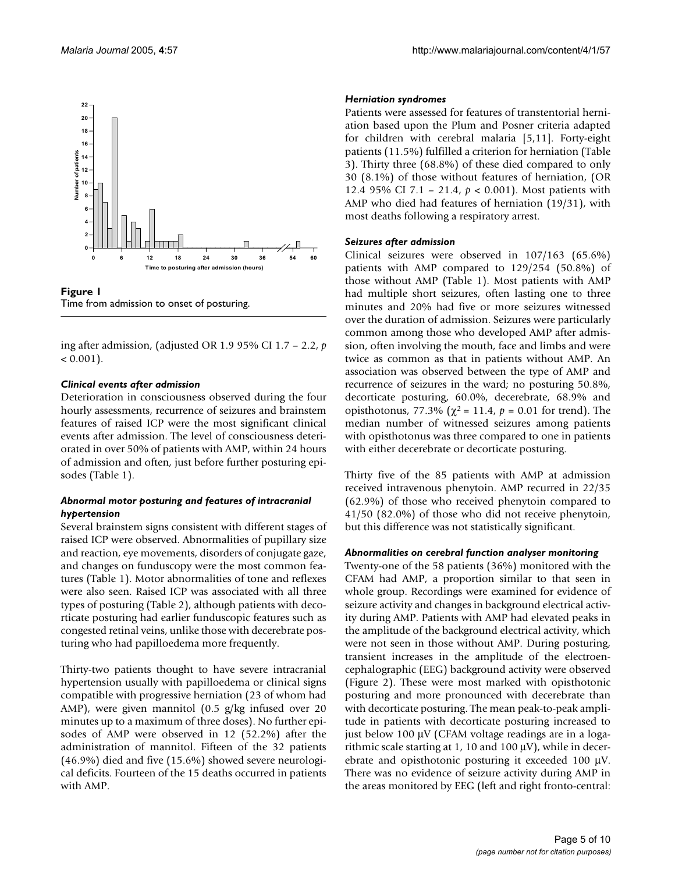

Figure 1 Time from admission to onset of posturing.

ing after admission, (adjusted OR 1.9 95% CI 1.7 – 2.2, *p*  $< 0.001$ ).

### *Clinical events after admission*

Deterioration in consciousness observed during the four hourly assessments, recurrence of seizures and brainstem features of raised ICP were the most significant clinical events after admission. The level of consciousness deteriorated in over 50% of patients with AMP, within 24 hours of admission and often, just before further posturing episodes (Table 1).

### *Abnormal motor posturing and features of intracranial hypertension*

Several brainstem signs consistent with different stages of raised ICP were observed. Abnormalities of pupillary size and reaction, eye movements, disorders of conjugate gaze, and changes on funduscopy were the most common features (Table 1). Motor abnormalities of tone and reflexes were also seen. Raised ICP was associated with all three types of posturing (Table 2), although patients with decorticate posturing had earlier funduscopic features such as congested retinal veins, unlike those with decerebrate posturing who had papilloedema more frequently.

Thirty-two patients thought to have severe intracranial hypertension usually with papilloedema or clinical signs compatible with progressive herniation (23 of whom had AMP), were given mannitol (0.5 g/kg infused over 20 minutes up to a maximum of three doses). No further episodes of AMP were observed in 12 (52.2%) after the administration of mannitol. Fifteen of the 32 patients (46.9%) died and five (15.6%) showed severe neurological deficits. Fourteen of the 15 deaths occurred in patients with AMP.

#### *Herniation syndromes*

Patients were assessed for features of transtentorial herniation based upon the Plum and Posner criteria adapted for children with cerebral malaria [5,11]. Forty-eight patients (11.5%) fulfilled a criterion for herniation (Table 3). Thirty three (68.8%) of these died compared to only 30 (8.1%) of those without features of herniation, (OR 12.4 95% CI 7.1 – 21.4, *p* < 0.001). Most patients with AMP who died had features of herniation (19/31), with most deaths following a respiratory arrest.

#### *Seizures after admission*

Clinical seizures were observed in 107/163 (65.6%) patients with AMP compared to 129/254 (50.8%) of those without AMP (Table 1). Most patients with AMP had multiple short seizures, often lasting one to three minutes and 20% had five or more seizures witnessed over the duration of admission. Seizures were particularly common among those who developed AMP after admission, often involving the mouth, face and limbs and were twice as common as that in patients without AMP. An association was observed between the type of AMP and recurrence of seizures in the ward; no posturing 50.8%, decorticate posturing, 60.0%, decerebrate, 68.9% and opisthotonus, 77.3% (χ2 = 11.4, *p* = 0.01 for trend). The median number of witnessed seizures among patients with opisthotonus was three compared to one in patients with either decerebrate or decorticate posturing.

Thirty five of the 85 patients with AMP at admission received intravenous phenytoin. AMP recurred in 22/35 (62.9%) of those who received phenytoin compared to 41/50 (82.0%) of those who did not receive phenytoin, but this difference was not statistically significant.

#### *Abnormalities on cerebral function analyser monitoring*

Twenty-one of the 58 patients (36%) monitored with the CFAM had AMP, a proportion similar to that seen in whole group. Recordings were examined for evidence of seizure activity and changes in background electrical activity during AMP. Patients with AMP had elevated peaks in the amplitude of the background electrical activity, which were not seen in those without AMP. During posturing, transient increases in the amplitude of the electroencephalographic (EEG) background activity were observed (Figure 2). These were most marked with opisthotonic posturing and more pronounced with decerebrate than with decorticate posturing. The mean peak-to-peak amplitude in patients with decorticate posturing increased to just below 100 µV (CFAM voltage readings are in a logarithmic scale starting at 1, 10 and 100  $\mu$ V), while in decerebrate and opisthotonic posturing it exceeded 100 µV. There was no evidence of seizure activity during AMP in the areas monitored by EEG (left and right fronto-central: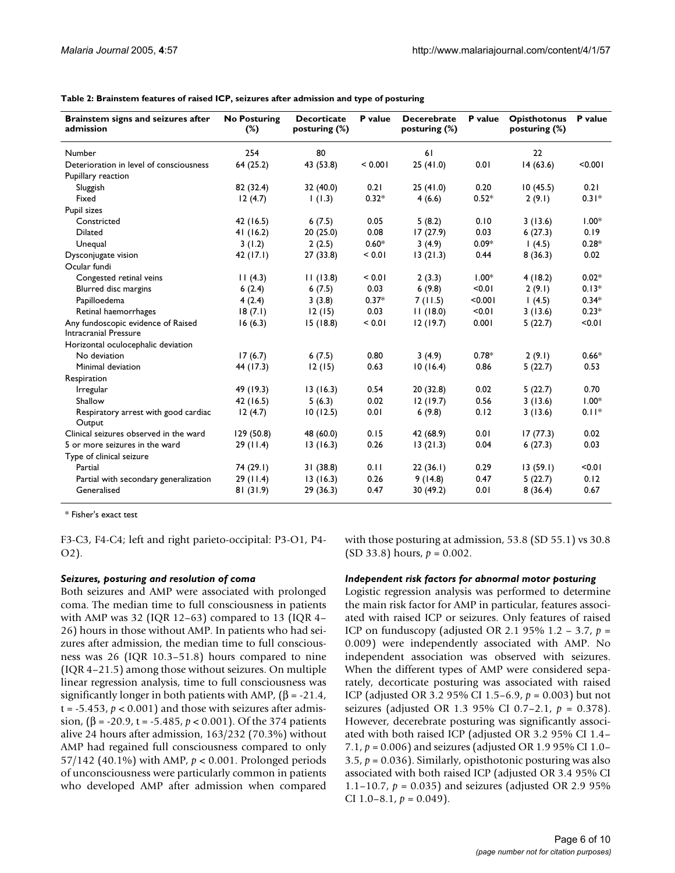**Table 2: Brainstem features of raised ICP, seizures after admission and type of posturing**

| Brainstem signs and seizures after<br>admission                    | <b>No Posturing</b><br>$(\%)$ | <b>Decorticate</b><br>posturing (%) | P value | <b>Decerebrate</b><br>posturing (%) | P value | <b>Opisthotonus</b><br>posturing (%) | <b>P</b> value |
|--------------------------------------------------------------------|-------------------------------|-------------------------------------|---------|-------------------------------------|---------|--------------------------------------|----------------|
| Number                                                             | 254                           | 80                                  |         | 61                                  |         | 22                                   |                |
| Deterioration in level of consciousness                            | 64(25.2)                      | 43 (53.8)                           | < 0.001 | 25(41.0)                            | 0.01    | 14(63.6)                             | < 0.001        |
| Pupillary reaction                                                 |                               |                                     |         |                                     |         |                                      |                |
| Sluggish                                                           | 82 (32.4)                     | 32 (40.0)                           | 0.21    | 25(41.0)                            | 0.20    | 10(45.5)                             | 0.21           |
| Fixed                                                              | 12(4.7)                       | 1(1.3)                              | $0.32*$ | 4(6.6)                              | $0.52*$ | 2(9.1)                               | $0.31*$        |
| Pupil sizes                                                        |                               |                                     |         |                                     |         |                                      |                |
| Constricted                                                        | 42 (16.5)                     | 6(7.5)                              | 0.05    | 5(8.2)                              | 0.10    | 3(13.6)                              | $1.00*$        |
| <b>Dilated</b>                                                     | 41(16.2)                      | 20(25.0)                            | 0.08    | 17(27.9)                            | 0.03    | 6(27.3)                              | 0.19           |
| Unequal                                                            | 3(1.2)                        | 2(2.5)                              | $0.60*$ | 3(4.9)                              | $0.09*$ | (4.5)                                | $0.28*$        |
| Dysconjugate vision                                                | 42(17.1)                      | 27 (33.8)                           | < 0.01  | 13(21.3)                            | 0.44    | 8(36.3)                              | 0.02           |
| Ocular fundi                                                       |                               |                                     |         |                                     |         |                                      |                |
| Congested retinal veins                                            | 11(4.3)                       | 11(13.8)                            | < 0.01  | 2(3.3)                              | $1.00*$ | 4(18.2)                              | $0.02*$        |
| Blurred disc margins                                               | 6(2.4)                        | 6(7.5)                              | 0.03    | 6(9.8)                              | < 0.01  | 2(9.1)                               | $0.13*$        |
| Papilloedema                                                       | 4(2.4)                        | 3(3.8)                              | $0.37*$ | 7(11.5)                             | < 0.001 | 1(4.5)                               | $0.34*$        |
| Retinal haemorrhages                                               | 18(7.1)                       | 12(15)                              | 0.03    | 11(18.0)                            | < 0.01  | 3(13.6)                              | $0.23*$        |
| Any fundoscopic evidence of Raised<br><b>Intracranial Pressure</b> | 16(6.3)                       | 15(18.8)                            | < 0.01  | 12(19.7)                            | 0.001   | 5(22.7)                              | < 0.01         |
| Horizontal oculocephalic deviation                                 |                               |                                     |         |                                     |         |                                      |                |
| No deviation                                                       | 17(6.7)                       | 6(7.5)                              | 0.80    | 3(4.9)                              | $0.78*$ | 2(9.1)                               | $0.66*$        |
| Minimal deviation                                                  | 44 (17.3)                     | 12(15)                              | 0.63    | 10(16.4)                            | 0.86    | 5(22.7)                              | 0.53           |
| Respiration                                                        |                               |                                     |         |                                     |         |                                      |                |
| Irregular                                                          | 49 (19.3)                     | 13(16.3)                            | 0.54    | 20 (32.8)                           | 0.02    | 5(22.7)                              | 0.70           |
| Shallow                                                            | 42 (16.5)                     | 5(6.3)                              | 0.02    | 12(19.7)                            | 0.56    | 3(13.6)                              | $1.00*$        |
| Respiratory arrest with good cardiac<br>Output                     | 12(4.7)                       | 10(12.5)                            | 0.01    | 6(9.8)                              | 0.12    | 3(13.6)                              | $0.11*$        |
| Clinical seizures observed in the ward                             | 129(50.8)                     | 48 (60.0)                           | 0.15    | 42 (68.9)                           | 0.01    | 17(77.3)                             | 0.02           |
| 5 or more seizures in the ward                                     | 29(11.4)                      | 13(16.3)                            | 0.26    | 13(21.3)                            | 0.04    | 6(27.3)                              | 0.03           |
| Type of clinical seizure                                           |                               |                                     |         |                                     |         |                                      |                |
| Partial                                                            | 74 (29.1)                     | 31(38.8)                            | 0.11    | 22(36.1)                            | 0.29    | 13(59.1)                             | < 0.01         |
| Partial with secondary generalization                              | 29(11.4)                      | 13(16.3)                            | 0.26    | 9(14.8)                             | 0.47    | 5(22.7)                              | 0.12           |
| Generalised                                                        | 81(31.9)                      | 29(36.3)                            | 0.47    | 30 (49.2)                           | 0.01    | 8(36.4)                              | 0.67           |

\* Fisher's exact test

F3-C3, F4-C4; left and right parieto-occipital: P3-O1, P4- O2).

#### *Seizures, posturing and resolution of coma*

Both seizures and AMP were associated with prolonged coma. The median time to full consciousness in patients with AMP was 32 (IQR 12–63) compared to 13 (IQR 4– 26) hours in those without AMP. In patients who had seizures after admission, the median time to full consciousness was 26 (IQR 10.3–51.8) hours compared to nine (IQR 4–21.5) among those without seizures. On multiple linear regression analysis, time to full consciousness was significantly longer in both patients with AMP,  $(\beta = -21.4,$  $t = -5.453$ ,  $p < 0.001$ ) and those with seizures after admission, (β = -20.9, t = -5.485, *p* < 0.001). Of the 374 patients alive 24 hours after admission, 163/232 (70.3%) without AMP had regained full consciousness compared to only 57/142 (40.1%) with AMP, *p* < 0.001. Prolonged periods of unconsciousness were particularly common in patients who developed AMP after admission when compared with those posturing at admission, 53.8 (SD 55.1) vs 30.8 (SD 33.8) hours, *p* = 0.002.

### *Independent risk factors for abnormal motor posturing*

Logistic regression analysis was performed to determine the main risk factor for AMP in particular, features associated with raised ICP or seizures. Only features of raised ICP on funduscopy (adjusted OR 2.1 95% 1.2 – 3.7, *p* = 0.009) were independently associated with AMP. No independent association was observed with seizures. When the different types of AMP were considered separately, decorticate posturing was associated with raised ICP (adjusted OR 3.2 95% CI 1.5–6.9, *p* = 0.003) but not seizures (adjusted OR 1.3 95% CI 0.7–2.1, *p* = 0.378). However, decerebrate posturing was significantly associated with both raised ICP (adjusted OR 3.2 95% CI 1.4– 7.1, *p* = 0.006) and seizures (adjusted OR 1.9 95% CI 1.0– 3.5, *p* = 0.036). Similarly, opisthotonic posturing was also associated with both raised ICP (adjusted OR 3.4 95% CI 1.1–10.7, *p* = 0.035) and seizures (adjusted OR 2.9 95% CI 1.0–8.1,  $p = 0.049$ ).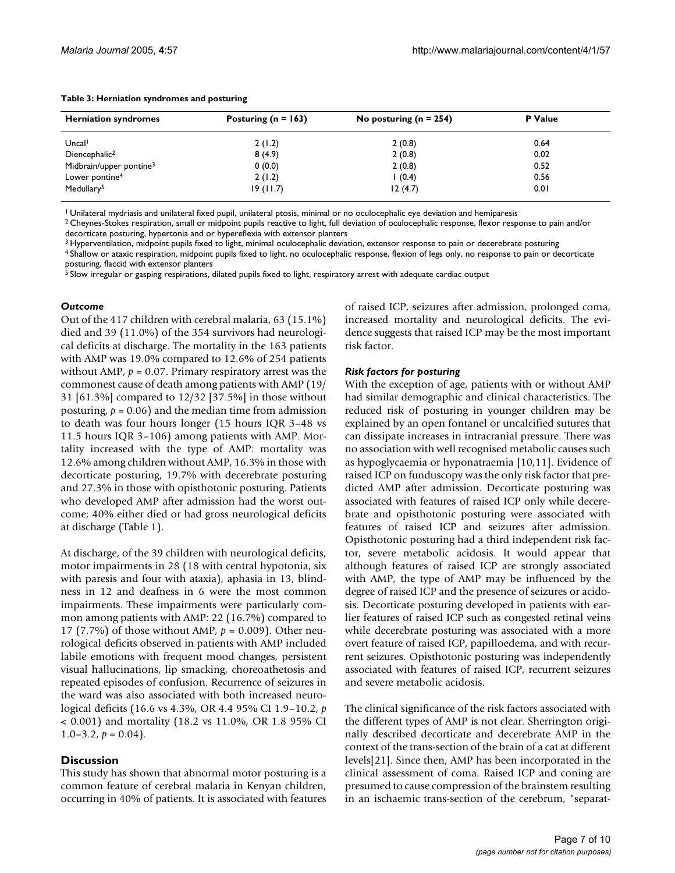| <b>Herniation syndromes</b>         | Posturing ( $n = 163$ ) | No posturing $(n = 254)$ | P Value |
|-------------------------------------|-------------------------|--------------------------|---------|
| Uncal <sup>1</sup>                  | 2(1.2)                  | 2(0.8)                   | 0.64    |
| Diencephalic <sup>2</sup>           | 8(4.9)                  | 2(0.8)                   | 0.02    |
| Midbrain/upper pontine <sup>3</sup> | 0(0.0)                  | 2(0.8)                   | 0.52    |
| Lower pontine <sup>4</sup>          | 2(1.2)                  | 1(0.4)                   | 0.56    |
| Medullary <sup>5</sup>              | 19(11.7)                | 12(4.7)                  | 0.01    |

#### **Table 3: Herniation syndromes and posturing**

1 Unilateral mydriasis and unilateral fixed pupil, unilateral ptosis, minimal or no oculocephalic eye deviation and hemiparesis

<sup>2</sup> Cheynes-Stokes respiration, small or midpoint pupils reactive to light, full deviation of oculocephalic response, flexor response to pain and/or decorticate posturing, hypertonia and or hypereflexia with extensor planters

<sup>3</sup> Hyperventilation, midpoint pupils fixed to light, minimal oculocephalic deviation, extensor response to pain or decerebrate posturing

4 Shallow or ataxic respiration, midpoint pupils fixed to light, no oculocephalic response, flexion of legs only, no response to pain or decorticate posturing, flaccid with extensor planters

<sup>5</sup> Slow irregular or gasping respirations, dilated pupils fixed to light, respiratory arrest with adequate cardiac output

#### *Outcome*

Out of the 417 children with cerebral malaria, 63 (15.1%) died and 39 (11.0%) of the 354 survivors had neurological deficits at discharge. The mortality in the 163 patients with AMP was 19.0% compared to 12.6% of 254 patients without AMP,  $p = 0.07$ . Primary respiratory arrest was the commonest cause of death among patients with AMP (19/ 31 [61.3%] compared to 12/32 [37.5%] in those without posturing,  $p = 0.06$ ) and the median time from admission to death was four hours longer (15 hours IQR 3–48 vs 11.5 hours IQR 3–106) among patients with AMP. Mortality increased with the type of AMP: mortality was 12.6% among children without AMP, 16.3% in those with decorticate posturing, 19.7% with decerebrate posturing and 27.3% in those with opisthotonic posturing. Patients who developed AMP after admission had the worst outcome; 40% either died or had gross neurological deficits at discharge (Table 1).

At discharge, of the 39 children with neurological deficits, motor impairments in 28 (18 with central hypotonia, six with paresis and four with ataxia), aphasia in 13, blindness in 12 and deafness in 6 were the most common impairments. These impairments were particularly common among patients with AMP: 22 (16.7%) compared to 17 (7.7%) of those without AMP, *p* = 0.009). Other neurological deficits observed in patients with AMP included labile emotions with frequent mood changes, persistent visual hallucinations, lip smacking, choreoathetosis and repeated episodes of confusion. Recurrence of seizures in the ward was also associated with both increased neurological deficits (16.6 vs 4.3%, OR 4.4 95% CI 1.9–10.2, *p* < 0.001) and mortality (18.2 vs 11.0%, OR 1.8 95% CI  $1.0 - 3.2$ ,  $p = 0.04$ ).

### **Discussion**

This study has shown that abnormal motor posturing is a common feature of cerebral malaria in Kenyan children, occurring in 40% of patients. It is associated with features of raised ICP, seizures after admission, prolonged coma, increased mortality and neurological deficits. The evidence suggests that raised ICP may be the most important risk factor.

#### *Risk factors for posturing*

With the exception of age, patients with or without AMP had similar demographic and clinical characteristics. The reduced risk of posturing in younger children may be explained by an open fontanel or uncalcified sutures that can dissipate increases in intracranial pressure. There was no association with well recognised metabolic causes such as hypoglycaemia or hyponatraemia [10,11]. Evidence of raised ICP on funduscopy was the only risk factor that predicted AMP after admission. Decorticate posturing was associated with features of raised ICP only while decerebrate and opisthotonic posturing were associated with features of raised ICP and seizures after admission. Opisthotonic posturing had a third independent risk factor, severe metabolic acidosis. It would appear that although features of raised ICP are strongly associated with AMP, the type of AMP may be influenced by the degree of raised ICP and the presence of seizures or acidosis. Decorticate posturing developed in patients with earlier features of raised ICP such as congested retinal veins while decerebrate posturing was associated with a more overt feature of raised ICP, papilloedema, and with recurrent seizures. Opisthotonic posturing was independently associated with features of raised ICP, recurrent seizures and severe metabolic acidosis.

The clinical significance of the risk factors associated with the different types of AMP is not clear. Sherrington originally described decorticate and decerebrate AMP in the context of the trans-section of the brain of a cat at different levels[21]. Since then, AMP has been incorporated in the clinical assessment of coma. Raised ICP and coning are presumed to cause compression of the brainstem resulting in an ischaemic trans-section of the cerebrum, "separat-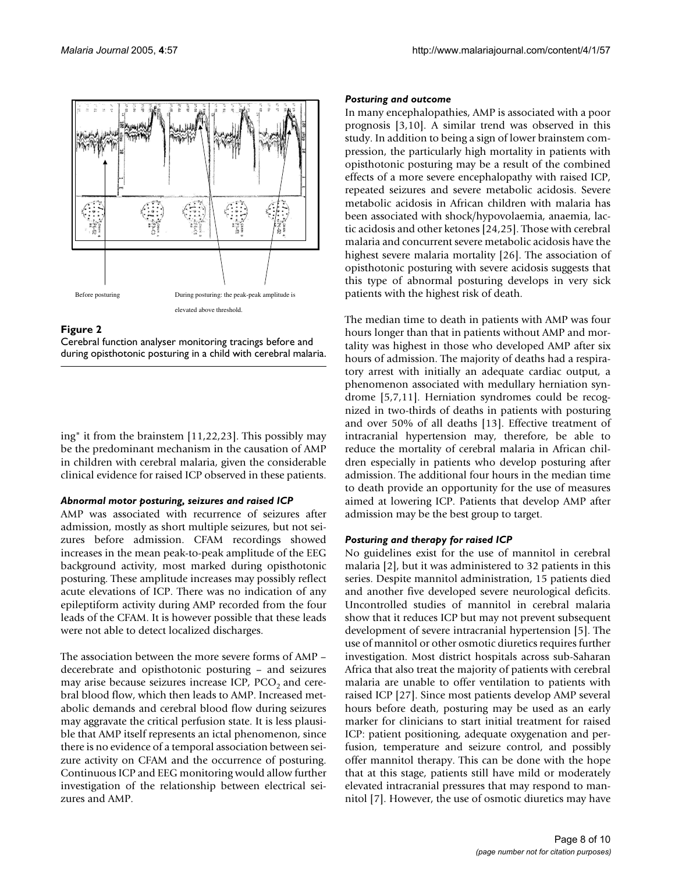

### Figure 2

Cerebral function analyser monitoring tracings before and during opisthotonic posturing in a child with cerebral malaria.

ing" it from the brainstem [11,22,23]. This possibly may be the predominant mechanism in the causation of AMP in children with cerebral malaria, given the considerable clinical evidence for raised ICP observed in these patients.

### *Abnormal motor posturing, seizures and raised ICP*

AMP was associated with recurrence of seizures after admission, mostly as short multiple seizures, but not seizures before admission. CFAM recordings showed increases in the mean peak-to-peak amplitude of the EEG background activity, most marked during opisthotonic posturing. These amplitude increases may possibly reflect acute elevations of ICP. There was no indication of any epileptiform activity during AMP recorded from the four leads of the CFAM. It is however possible that these leads were not able to detect localized discharges.

The association between the more severe forms of AMP – decerebrate and opisthotonic posturing – and seizures may arise because seizures increase ICP,  $PCO<sub>2</sub>$  and cerebral blood flow, which then leads to AMP. Increased metabolic demands and cerebral blood flow during seizures may aggravate the critical perfusion state. It is less plausible that AMP itself represents an ictal phenomenon, since there is no evidence of a temporal association between seizure activity on CFAM and the occurrence of posturing. Continuous ICP and EEG monitoring would allow further investigation of the relationship between electrical seizures and AMP.

### *Posturing and outcome*

In many encephalopathies, AMP is associated with a poor prognosis [3,10]. A similar trend was observed in this study. In addition to being a sign of lower brainstem compression, the particularly high mortality in patients with opisthotonic posturing may be a result of the combined effects of a more severe encephalopathy with raised ICP, repeated seizures and severe metabolic acidosis. Severe metabolic acidosis in African children with malaria has been associated with shock/hypovolaemia, anaemia, lactic acidosis and other ketones [24,25]. Those with cerebral malaria and concurrent severe metabolic acidosis have the highest severe malaria mortality [26]. The association of opisthotonic posturing with severe acidosis suggests that this type of abnormal posturing develops in very sick patients with the highest risk of death.

The median time to death in patients with AMP was four hours longer than that in patients without AMP and mortality was highest in those who developed AMP after six hours of admission. The majority of deaths had a respiratory arrest with initially an adequate cardiac output, a phenomenon associated with medullary herniation syndrome [5,7,11]. Herniation syndromes could be recognized in two-thirds of deaths in patients with posturing and over 50% of all deaths [13]. Effective treatment of intracranial hypertension may, therefore, be able to reduce the mortality of cerebral malaria in African children especially in patients who develop posturing after admission. The additional four hours in the median time to death provide an opportunity for the use of measures aimed at lowering ICP. Patients that develop AMP after admission may be the best group to target.

### *Posturing and therapy for raised ICP*

No guidelines exist for the use of mannitol in cerebral malaria [2], but it was administered to 32 patients in this series. Despite mannitol administration, 15 patients died and another five developed severe neurological deficits. Uncontrolled studies of mannitol in cerebral malaria show that it reduces ICP but may not prevent subsequent development of severe intracranial hypertension [5]. The use of mannitol or other osmotic diuretics requires further investigation. Most district hospitals across sub-Saharan Africa that also treat the majority of patients with cerebral malaria are unable to offer ventilation to patients with raised ICP [27]. Since most patients develop AMP several hours before death, posturing may be used as an early marker for clinicians to start initial treatment for raised ICP: patient positioning, adequate oxygenation and perfusion, temperature and seizure control, and possibly offer mannitol therapy. This can be done with the hope that at this stage, patients still have mild or moderately elevated intracranial pressures that may respond to mannitol [7]. However, the use of osmotic diuretics may have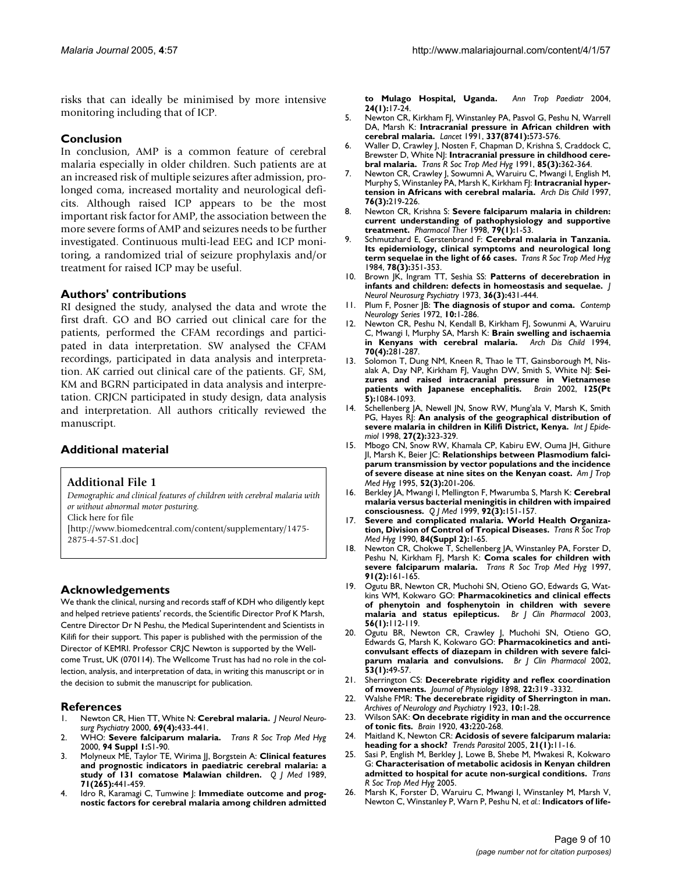risks that can ideally be minimised by more intensive monitoring including that of ICP.

### **Conclusion**

In conclusion, AMP is a common feature of cerebral malaria especially in older children. Such patients are at an increased risk of multiple seizures after admission, prolonged coma, increased mortality and neurological deficits. Although raised ICP appears to be the most important risk factor for AMP, the association between the more severe forms of AMP and seizures needs to be further investigated. Continuous multi-lead EEG and ICP monitoring, a randomized trial of seizure prophylaxis and/or treatment for raised ICP may be useful.

### **Authors' contributions**

RI designed the study, analysed the data and wrote the first draft. GO and BO carried out clinical care for the patients, performed the CFAM recordings and participated in data interpretation. SW analysed the CFAM recordings, participated in data analysis and interpretation. AK carried out clinical care of the patients. GF, SM, KM and BGRN participated in data analysis and interpretation. CRJCN participated in study design, data analysis and interpretation. All authors critically reviewed the manuscript.

### **Additional material**

### **Additional File 1**

*Demographic and clinical features of children with cerebral malaria with or without abnormal motor posturing.* Click here for file

[\[http://www.biomedcentral.com/content/supplementary/1475-](http://www.biomedcentral.com/content/supplementary/1475-2875-4-57-S1.doc) 2875-4-57-S1.doc]

### **Acknowledgements**

We thank the clinical, nursing and records staff of KDH who diligently kept and helped retrieve patients' records, the Scientific Director Prof K Marsh, Centre Director Dr N Peshu, the Medical Superintendent and Scientists in Kilifi for their support. This paper is published with the permission of the Director of KEMRI. Professor CRJC Newton is supported by the Wellcome Trust, UK (070114). The Wellcome Trust has had no role in the collection, analysis, and interpretation of data, in writing this manuscript or in the decision to submit the manuscript for publication.

### **References**

- 1. Newton CR, Hien TT, White N: **[Cerebral malaria.](http://www.ncbi.nlm.nih.gov/entrez/query.fcgi?cmd=Retrieve&db=PubMed&dopt=Abstract&list_uids=10990500)** *J Neurol Neurosurg Psychiatry* 2000, **69(4):**433-441.
- 2. WHO: **[Severe falciparum malaria.](http://www.ncbi.nlm.nih.gov/entrez/query.fcgi?cmd=Retrieve&db=PubMed&dopt=Abstract&list_uids=11103309)** *Trans R Soc Trop Med Hyg* 2000, **94 Suppl 1:**S1-90.
- 3. Molyneux ME, Taylor TE, Wirima JJ, Borgstein A: **[Clinical features](http://www.ncbi.nlm.nih.gov/entrez/query.fcgi?cmd=Retrieve&db=PubMed&dopt=Abstract&list_uids=2690177) [and prognostic indicators in paediatric cerebral malaria: a](http://www.ncbi.nlm.nih.gov/entrez/query.fcgi?cmd=Retrieve&db=PubMed&dopt=Abstract&list_uids=2690177) [study of 131 comatose Malawian children.](http://www.ncbi.nlm.nih.gov/entrez/query.fcgi?cmd=Retrieve&db=PubMed&dopt=Abstract&list_uids=2690177)** *Q J Med* 1989, **71(265):**441-459.
- Idro R, Karamagi C, Tumwine J: [Immediate outcome and prog](http://www.ncbi.nlm.nih.gov/entrez/query.fcgi?cmd=Retrieve&db=PubMed&dopt=Abstract&list_uids=15005962)**[nostic factors for cerebral malaria among children admitted](http://www.ncbi.nlm.nih.gov/entrez/query.fcgi?cmd=Retrieve&db=PubMed&dopt=Abstract&list_uids=15005962)**

**[to Mulago Hospital, Uganda.](http://www.ncbi.nlm.nih.gov/entrez/query.fcgi?cmd=Retrieve&db=PubMed&dopt=Abstract&list_uids=15005962)** *Ann Trop Paediatr* 2004, **24(1):**17-24.

- 5. Newton CR, Kirkham FJ, Winstanley PA, Pasvol G, Peshu N, Warrell DA, Marsh K: **[Intracranial pressure in African children with](http://www.ncbi.nlm.nih.gov/entrez/query.fcgi?cmd=Retrieve&db=PubMed&dopt=Abstract&list_uids=1671941) [cerebral malaria.](http://www.ncbi.nlm.nih.gov/entrez/query.fcgi?cmd=Retrieve&db=PubMed&dopt=Abstract&list_uids=1671941)** *Lancet* 1991, **337(8741):**573-576.
- 6. Waller D, Crawley J, Nosten F, Chapman D, Krishna S, Craddock C, Brewster D, White NJ: **[Intracranial pressure in childhood cere](http://www.ncbi.nlm.nih.gov/entrez/query.fcgi?cmd=Retrieve&db=PubMed&dopt=Abstract&list_uids=1949139)[bral malaria.](http://www.ncbi.nlm.nih.gov/entrez/query.fcgi?cmd=Retrieve&db=PubMed&dopt=Abstract&list_uids=1949139)** *Trans R Soc Trop Med Hyg* 1991, **85(3):**362-364.
- 7. Newton CR, Crawley J, Sowumni A, Waruiru C, Mwangi I, English M, Murphy S, Winstanley PA, Marsh K, Kirkham FJ: **[Intracranial hyper](http://www.ncbi.nlm.nih.gov/entrez/query.fcgi?cmd=Retrieve&db=PubMed&dopt=Abstract&list_uids=9135262)[tension in Africans with cerebral malaria.](http://www.ncbi.nlm.nih.gov/entrez/query.fcgi?cmd=Retrieve&db=PubMed&dopt=Abstract&list_uids=9135262)** *Arch Dis Child* 1997, **76(3):**219-226.
- 8. Newton CR, Krishna S: **[Severe falciparum malaria in children:](http://www.ncbi.nlm.nih.gov/entrez/query.fcgi?cmd=Retrieve&db=PubMed&dopt=Abstract&list_uids=9719344) [current understanding of pathophysiology and supportive](http://www.ncbi.nlm.nih.gov/entrez/query.fcgi?cmd=Retrieve&db=PubMed&dopt=Abstract&list_uids=9719344) [treatment.](http://www.ncbi.nlm.nih.gov/entrez/query.fcgi?cmd=Retrieve&db=PubMed&dopt=Abstract&list_uids=9719344)** *Pharmacol Ther* 1998, **79(1):**1-53.
- 9. Schmutzhard E, Gerstenbrand F: **[Cerebral malaria in Tanzania.](http://www.ncbi.nlm.nih.gov/entrez/query.fcgi?cmd=Retrieve&db=PubMed&dopt=Abstract&list_uids=6380023) [Its epidemiology, clinical symptoms and neurological long](http://www.ncbi.nlm.nih.gov/entrez/query.fcgi?cmd=Retrieve&db=PubMed&dopt=Abstract&list_uids=6380023) [term sequelae in the light of 66 cases.](http://www.ncbi.nlm.nih.gov/entrez/query.fcgi?cmd=Retrieve&db=PubMed&dopt=Abstract&list_uids=6380023)** *Trans R Soc Trop Med Hyg* 1984, **78(3):**351-353.
- 10. Brown JK, Ingram TT, Seshia SS: **[Patterns of decerebration in](http://www.ncbi.nlm.nih.gov/entrez/query.fcgi?cmd=Retrieve&db=PubMed&dopt=Abstract&list_uids=4714105) [infants and children: defects in homeostasis and sequelae.](http://www.ncbi.nlm.nih.gov/entrez/query.fcgi?cmd=Retrieve&db=PubMed&dopt=Abstract&list_uids=4714105)** *J Neurol Neurosurg Psychiatry* 1973, **36(3):**431-444.
- 11. Plum F, Posner JB: **The diagnosis of stupor and coma.** *Contemp Neurology Series* 1972, **10:**1-286.
- 12. Newton CR, Peshu N, Kendall B, Kirkham FJ, Sowunmi A, Waruiru C, Mwangi I, Murphy SA, Marsh K: **[Brain swelling and ischaemia](http://www.ncbi.nlm.nih.gov/entrez/query.fcgi?cmd=Retrieve&db=PubMed&dopt=Abstract&list_uids=8185359) [in Kenyans with cerebral malaria.](http://www.ncbi.nlm.nih.gov/entrez/query.fcgi?cmd=Retrieve&db=PubMed&dopt=Abstract&list_uids=8185359)** *Arch Dis Child* 1994, **70(4):**281-287.
- 13. Solomon T, Dung NM, Kneen R, Thao le TT, Gainsborough M, Nisalak A, Day NP, Kirkham FJ, Vaughn DW, Smith S, White NJ: **[Sei](http://www.ncbi.nlm.nih.gov/entrez/query.fcgi?cmd=Retrieve&db=PubMed&dopt=Abstract&list_uids=11960897)[zures and raised intracranial pressure in Vietnamese](http://www.ncbi.nlm.nih.gov/entrez/query.fcgi?cmd=Retrieve&db=PubMed&dopt=Abstract&list_uids=11960897) [patients with Japanese encephalitis.](http://www.ncbi.nlm.nih.gov/entrez/query.fcgi?cmd=Retrieve&db=PubMed&dopt=Abstract&list_uids=11960897) 5):**1084-1093.
- 14. Schellenberg JA, Newell JN, Snow RW, Mung'ala V, Marsh K, Smith PG, Hayes RJ: **[An analysis of the geographical distribution of](http://www.ncbi.nlm.nih.gov/entrez/query.fcgi?cmd=Retrieve&db=PubMed&dopt=Abstract&list_uids=9602418) [severe malaria in children in Kilifi District, Kenya.](http://www.ncbi.nlm.nih.gov/entrez/query.fcgi?cmd=Retrieve&db=PubMed&dopt=Abstract&list_uids=9602418)** *Int J Epidemiol* 1998, **27(2):**323-329.
- 15. Mbogo CN, Snow RW, Khamala CP, Kabiru EW, Ouma JH, Githure JI, Marsh K, Beier JC: **[Relationships between Plasmodium falci](http://www.ncbi.nlm.nih.gov/entrez/query.fcgi?cmd=Retrieve&db=PubMed&dopt=Abstract&list_uids=7694959)[parum transmission by vector populations and the incidence](http://www.ncbi.nlm.nih.gov/entrez/query.fcgi?cmd=Retrieve&db=PubMed&dopt=Abstract&list_uids=7694959) [of severe disease at nine sites on the Kenyan coast.](http://www.ncbi.nlm.nih.gov/entrez/query.fcgi?cmd=Retrieve&db=PubMed&dopt=Abstract&list_uids=7694959)** *Am J Trop Med Hyg* 1995, **52(3):**201-206.
- 16. Berkley JA, Mwangi I, Mellington F, Mwarumba S, Marsh K: **Cerebral malaria versus bacterial meningitis in children with impaired consciousness.** *Q J Med* 1999, **92(3):**151-157.
- <span id="page-8-0"></span>17. **[Severe and complicated malaria. World Health Organiza](http://www.ncbi.nlm.nih.gov/entrez/query.fcgi?cmd=Retrieve&db=PubMed&dopt=Abstract&list_uids=2219249)[tion, Division of Control of Tropical Diseases.](http://www.ncbi.nlm.nih.gov/entrez/query.fcgi?cmd=Retrieve&db=PubMed&dopt=Abstract&list_uids=2219249)** *Trans R Soc Trop Med Hyg* 1990, **84(Suppl 2):**1-65.
- 18. Newton CR, Chokwe T, Schellenberg JA, Winstanley PA, Forster D, Peshu N, Kirkham FJ, Marsh K: **[Coma scales for children with](http://www.ncbi.nlm.nih.gov/entrez/query.fcgi?cmd=Retrieve&db=PubMed&dopt=Abstract&list_uids=9196757) [severe falciparum malaria.](http://www.ncbi.nlm.nih.gov/entrez/query.fcgi?cmd=Retrieve&db=PubMed&dopt=Abstract&list_uids=9196757)** *Trans R Soc Trop Med Hyg* 1997, **91(2):**161-165.
- 19. Ogutu BR, Newton CR, Muchohi SN, Otieno GO, Edwards G, Watkins WM, Kokwaro GO: **[Pharmacokinetics and clinical effects](http://www.ncbi.nlm.nih.gov/entrez/query.fcgi?cmd=Retrieve&db=PubMed&dopt=Abstract&list_uids=12848783) [of phenytoin and fosphenytoin in children with severe](http://www.ncbi.nlm.nih.gov/entrez/query.fcgi?cmd=Retrieve&db=PubMed&dopt=Abstract&list_uids=12848783) [malaria and status epilepticus.](http://www.ncbi.nlm.nih.gov/entrez/query.fcgi?cmd=Retrieve&db=PubMed&dopt=Abstract&list_uids=12848783)** *Br J Clin Pharmacol* 2003, **56(1):**112-119.
- 20. Ogutu BR, Newton CR, Crawley J, Muchohi SN, Otieno GO, Edwards G, Marsh K, Kokwaro GO: **[Pharmacokinetics and anti](http://www.ncbi.nlm.nih.gov/entrez/query.fcgi?cmd=Retrieve&db=PubMed&dopt=Abstract&list_uids=11849195)[convulsant effects of diazepam in children with severe falci](http://www.ncbi.nlm.nih.gov/entrez/query.fcgi?cmd=Retrieve&db=PubMed&dopt=Abstract&list_uids=11849195)[parum malaria and convulsions.](http://www.ncbi.nlm.nih.gov/entrez/query.fcgi?cmd=Retrieve&db=PubMed&dopt=Abstract&list_uids=11849195)** *Br J Clin Pharmacol* 2002, **53(1):**49-57.
- 21. Sherrington CS: **Decerebrate rigidity and reflex coordination of movements.** *Journal of Physiology* 1898, **22:**319 -3332.
- 22. Walshe FMR: **The decerebrate rigidity of Sherrington in man.** *Archives of Neurology and Psychiatry* 1923, **10:**1-28.
- 23. Wilson SAK: **On decebrate rigidity in man and the occurrence of tonic fits.** *Brain* 1920, **43:**220-268.
- 24. Maitland K, Newton CR: **[Acidosis of severe falciparum malaria:](http://www.ncbi.nlm.nih.gov/entrez/query.fcgi?cmd=Retrieve&db=PubMed&dopt=Abstract&list_uids=15639735) [heading for a shock?](http://www.ncbi.nlm.nih.gov/entrez/query.fcgi?cmd=Retrieve&db=PubMed&dopt=Abstract&list_uids=15639735)** *Trends Parasitol* 2005, **21(1):**11-16.
- 25. Sasi P, English M, Berkley J, Lowe B, Shebe M, Mwakesi R, Kokwaro G: **[Characterisation of metabolic acidosis in Kenyan children](http://www.ncbi.nlm.nih.gov/entrez/query.fcgi?cmd=Retrieve&db=PubMed&dopt=Abstract&list_uids=16257025) [admitted to hospital for acute non-surgical conditions.](http://www.ncbi.nlm.nih.gov/entrez/query.fcgi?cmd=Retrieve&db=PubMed&dopt=Abstract&list_uids=16257025)** *Trans R Soc Trop Med Hyg* 2005.
- 26. Marsh K, Forster D, Waruiru C, Mwangi I, Winstanley M, Marsh V, Newton C, Winstanley P, Warn P, Peshu N, *et al.*: **[Indicators of life](http://www.ncbi.nlm.nih.gov/entrez/query.fcgi?cmd=Retrieve&db=PubMed&dopt=Abstract&list_uids=7723795)-**